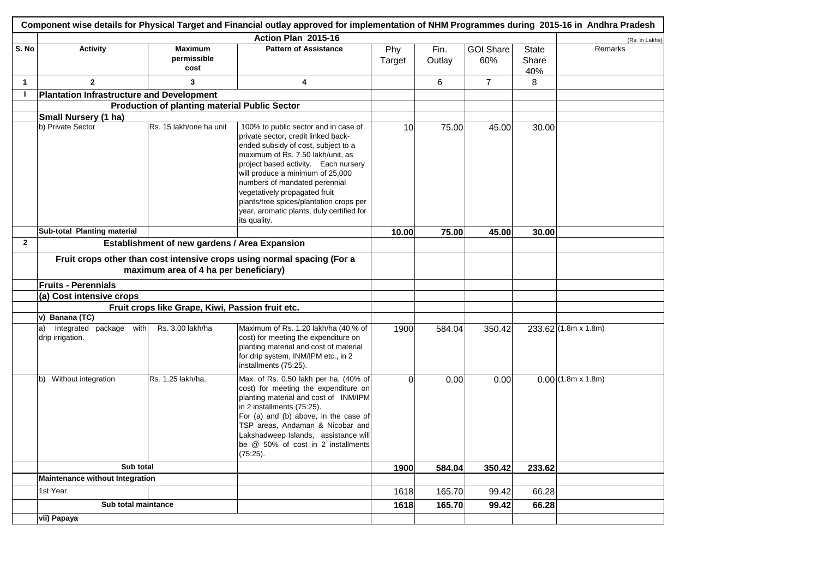|                |                                                   |                                                      | Component wise details for Physical Target and Financial outlay approved for implementation of NHM Programmes during 2015-16 in Andhra Pradesh                                                                                                                                                                                                                                                                |               |                |                         |                              |                          |
|----------------|---------------------------------------------------|------------------------------------------------------|---------------------------------------------------------------------------------------------------------------------------------------------------------------------------------------------------------------------------------------------------------------------------------------------------------------------------------------------------------------------------------------------------------------|---------------|----------------|-------------------------|------------------------------|--------------------------|
|                |                                                   |                                                      | Action Plan 2015-16                                                                                                                                                                                                                                                                                                                                                                                           |               |                |                         |                              | (Rs. in Lakhs)           |
| S. No          | <b>Activity</b>                                   | <b>Maximum</b><br>permissible<br>cost                | <b>Pattern of Assistance</b>                                                                                                                                                                                                                                                                                                                                                                                  | Phy<br>Target | Fin.<br>Outlay | <b>GOI Share</b><br>60% | <b>State</b><br>Share<br>40% | Remarks                  |
| $\mathbf{1}$   | $\overline{2}$                                    | 3                                                    | 4                                                                                                                                                                                                                                                                                                                                                                                                             |               | 6              | $\overline{7}$          | 8                            |                          |
| $\mathbf{I}$   | Plantation Infrastructure and Development         |                                                      |                                                                                                                                                                                                                                                                                                                                                                                                               |               |                |                         |                              |                          |
|                |                                                   | <b>Production of planting material Public Sector</b> |                                                                                                                                                                                                                                                                                                                                                                                                               |               |                |                         |                              |                          |
|                | Small Nursery (1 ha)                              |                                                      |                                                                                                                                                                                                                                                                                                                                                                                                               |               |                |                         |                              |                          |
|                | b) Private Sector                                 | Rs. 15 lakh/one ha unit                              | 100% to public sector and in case of<br>private sector, credit linked back-<br>ended subsidy of cost, subject to a<br>maximum of Rs. 7.50 lakh/unit, as<br>project based activity. Each nursery<br>will produce a minimum of 25,000<br>numbers of mandated perennial<br>vegetatively propagated fruit<br>plants/tree spices/plantation crops per<br>year, aromatic plants, duly certified for<br>its quality. | 10            | 75.00          | 45.00                   | 30.00                        |                          |
|                | Sub-total Planting material                       |                                                      |                                                                                                                                                                                                                                                                                                                                                                                                               | 10.00         | 75.00          | 45.00                   | 30.00                        |                          |
| $\overline{2}$ |                                                   | Establishment of new gardens / Area Expansion        |                                                                                                                                                                                                                                                                                                                                                                                                               |               |                |                         |                              |                          |
|                | <b>Fruits - Perennials</b>                        | maximum area of 4 ha per beneficiary)                | Fruit crops other than cost intensive crops using normal spacing (For a                                                                                                                                                                                                                                                                                                                                       |               |                |                         |                              |                          |
|                | (a) Cost intensive crops                          |                                                      |                                                                                                                                                                                                                                                                                                                                                                                                               |               |                |                         |                              |                          |
|                |                                                   | Fruit crops like Grape, Kiwi, Passion fruit etc.     |                                                                                                                                                                                                                                                                                                                                                                                                               |               |                |                         |                              |                          |
|                | v) Banana (TC)                                    |                                                      |                                                                                                                                                                                                                                                                                                                                                                                                               |               |                |                         |                              |                          |
|                | Integrated package with<br>a)<br>drip irrigation. | Rs. 3.00 lakh/ha                                     | Maximum of Rs. 1.20 lakh/ha (40 % of<br>cost) for meeting the expenditure on<br>planting material and cost of material<br>for drip system, INM/IPM etc., in 2<br>installments (75:25).                                                                                                                                                                                                                        | 1900          | 584.04         | 350.42                  |                              | $233.62$ (1.8m x 1.8m)   |
|                | b) Without integration                            | Rs. 1.25 lakh/ha.                                    | Max. of Rs. 0.50 lakh per ha, (40% of<br>cost) for meeting the expenditure on<br>planting material and cost of INM/IPM<br>in 2 installments (75:25).<br>For (a) and (b) above, in the case of<br>TSP areas, Andaman & Nicobar and<br>Lakshadweep Islands, assistance will<br>be @ 50% of cost in 2 installments<br>(75:25).                                                                                   | $\Omega$      | 0.00           | 0.00                    |                              | $0.00(1.8m \times 1.8m)$ |
|                | Sub total                                         |                                                      |                                                                                                                                                                                                                                                                                                                                                                                                               | 1900          | 584.04         | 350.42                  | 233.62                       |                          |
|                | <b>Maintenance without Integration</b>            |                                                      |                                                                                                                                                                                                                                                                                                                                                                                                               |               |                |                         |                              |                          |
|                | 1st Year                                          |                                                      |                                                                                                                                                                                                                                                                                                                                                                                                               | 1618          | 165.70         | 99.42                   | 66.28                        |                          |
|                | Sub total maintance                               |                                                      |                                                                                                                                                                                                                                                                                                                                                                                                               | 1618          | 165.70         | 99.42                   | 66.28                        |                          |
|                | vii) Papaya                                       |                                                      |                                                                                                                                                                                                                                                                                                                                                                                                               |               |                |                         |                              |                          |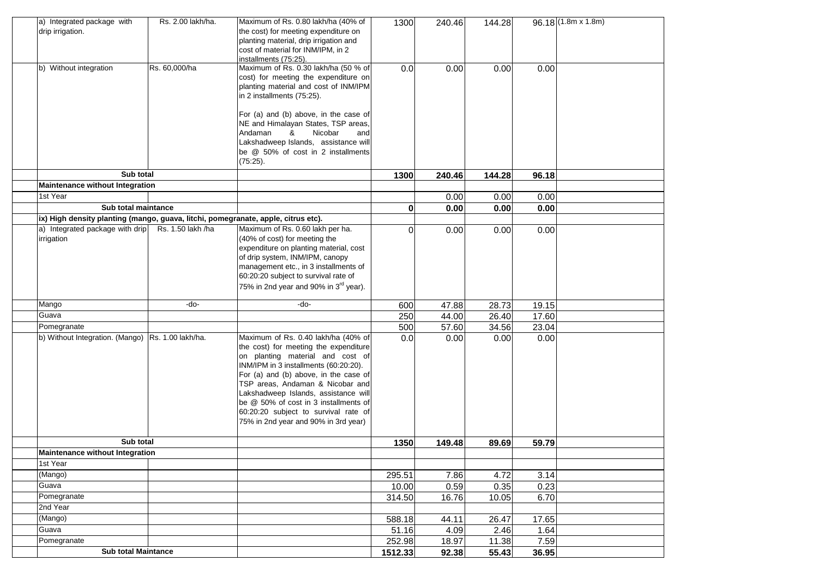| a) Integrated package with<br>drip irrigation.                                    | Rs. 2.00 lakh/ha. | Maximum of Rs. 0.80 lakh/ha (40% of<br>the cost) for meeting expenditure on<br>planting material, drip irrigation and<br>cost of material for INM/IPM, in 2<br>installments (75:25).         | 1300     | 240.46 | 144.28 |       | $96.18(1.8m \times 1.8m)$ |
|-----------------------------------------------------------------------------------|-------------------|----------------------------------------------------------------------------------------------------------------------------------------------------------------------------------------------|----------|--------|--------|-------|---------------------------|
| b) Without integration                                                            | Rs. 60,000/ha     | Maximum of Rs. 0.30 lakh/ha (50 % of<br>cost) for meeting the expenditure on<br>planting material and cost of INM/IPM<br>in 2 installments (75:25).<br>For (a) and (b) above, in the case of | 0.0      | 0.00   | 0.00   | 0.00  |                           |
|                                                                                   |                   | NE and Himalayan States, TSP areas,<br>Nicobar<br>Andaman<br>&<br>and<br>Lakshadweep Islands, assistance will<br>be @ 50% of cost in 2 installments<br>$(75:25)$ .                           |          |        |        |       |                           |
| Sub total                                                                         |                   |                                                                                                                                                                                              | 1300     | 240.46 | 144.28 | 96.18 |                           |
| Maintenance without Integration                                                   |                   |                                                                                                                                                                                              |          |        |        |       |                           |
| 1st Year                                                                          |                   |                                                                                                                                                                                              |          | 0.00   | 0.00   | 0.00  |                           |
| Sub total maintance                                                               |                   |                                                                                                                                                                                              | 0        | 0.00   | 0.00   | 0.00  |                           |
| ix) High density planting (mango, guava, litchi, pomegranate, apple, citrus etc). |                   |                                                                                                                                                                                              |          |        |        |       |                           |
| a) Integrated package with drip<br>irrigation                                     | Rs. 1.50 lakh /ha | Maximum of Rs. 0.60 lakh per ha.<br>(40% of cost) for meeting the<br>expenditure on planting material, cost<br>of drip system, INM/IPM, canopy                                               | $\Omega$ | 0.00   | 0.00   | 0.00  |                           |
|                                                                                   |                   | management etc., in 3 installments of<br>60:20:20 subject to survival rate of<br>75% in 2nd year and 90% in 3 <sup>rd</sup> year).                                                           |          |        |        |       |                           |
| Mango                                                                             | -do-              | -do-                                                                                                                                                                                         | 600      | 47.88  | 28.73  | 19.15 |                           |
| Guava                                                                             |                   |                                                                                                                                                                                              | 250      | 44.00  | 26.40  | 17.60 |                           |
| Pomegranate                                                                       |                   |                                                                                                                                                                                              | 500      | 57.60  | 34.56  | 23.04 |                           |
| b) Without Integration. (Mango) Rs. 1.00 lakh/ha.                                 |                   | Maximum of Rs. 0.40 lakh/ha (40% of<br>the cost) for meeting the expenditure                                                                                                                 | 0.0      | 0.00   | 0.00   | 0.00  |                           |
|                                                                                   |                   | on planting material and cost of<br>INM/IPM in 3 installments (60:20:20).                                                                                                                    |          |        |        |       |                           |
|                                                                                   |                   | For (a) and (b) above, in the case of                                                                                                                                                        |          |        |        |       |                           |
|                                                                                   |                   | TSP areas, Andaman & Nicobar and                                                                                                                                                             |          |        |        |       |                           |
|                                                                                   |                   | Lakshadweep Islands, assistance will<br>be @ 50% of cost in 3 installments of                                                                                                                |          |        |        |       |                           |
|                                                                                   |                   | 60:20:20 subject to survival rate of                                                                                                                                                         |          |        |        |       |                           |
|                                                                                   |                   | 75% in 2nd year and 90% in 3rd year)                                                                                                                                                         |          |        |        |       |                           |
| Sub total                                                                         |                   |                                                                                                                                                                                              | 1350     | 149.48 | 89.69  | 59.79 |                           |
| Maintenance without Integration                                                   |                   |                                                                                                                                                                                              |          |        |        |       |                           |
| 1st Year                                                                          |                   |                                                                                                                                                                                              |          |        |        |       |                           |
| (Mango)                                                                           |                   |                                                                                                                                                                                              | 295.51   | 7.86   | 4.72   | 3.14  |                           |
| Guava                                                                             |                   |                                                                                                                                                                                              | 10.00    | 0.59   | 0.35   | 0.23  |                           |
| Pomegranate                                                                       |                   |                                                                                                                                                                                              | 314.50   | 16.76  | 10.05  | 6.70  |                           |
| 2nd Year                                                                          |                   |                                                                                                                                                                                              |          |        |        |       |                           |
| (Mango)                                                                           |                   |                                                                                                                                                                                              | 588.18   | 44.11  | 26.47  | 17.65 |                           |
| Guava                                                                             |                   |                                                                                                                                                                                              | 51.16    | 4.09   | 2.46   | 1.64  |                           |
| Pomegranate                                                                       |                   |                                                                                                                                                                                              | 252.98   | 18.97  | 11.38  | 7.59  |                           |
| <b>Sub total Maintance</b>                                                        |                   |                                                                                                                                                                                              | 1512.33  | 92.38  | 55.43  | 36.95 |                           |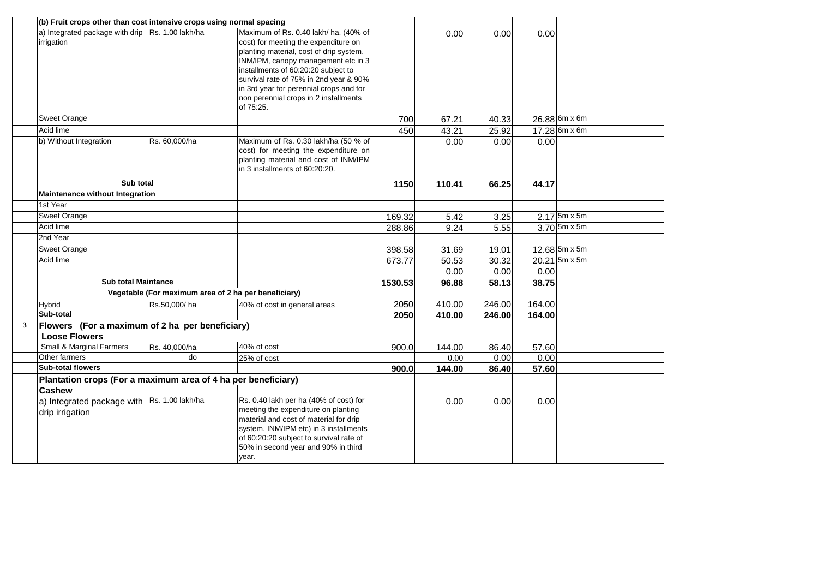|              | (b) Fruit crops other than cost intensive crops using normal spacing |                                                      |                                         |         |        |        |        |                 |
|--------------|----------------------------------------------------------------------|------------------------------------------------------|-----------------------------------------|---------|--------|--------|--------|-----------------|
|              | a) Integrated package with drip Rs. 1.00 lakh/ha                     |                                                      | Maximum of Rs. 0.40 lakh/ ha. (40% of   |         | 0.00   | 0.00   | 0.00   |                 |
|              | irrigation                                                           |                                                      | cost) for meeting the expenditure on    |         |        |        |        |                 |
|              |                                                                      |                                                      | planting material, cost of drip system, |         |        |        |        |                 |
|              |                                                                      |                                                      | INM/IPM, canopy management etc in 3     |         |        |        |        |                 |
|              |                                                                      |                                                      | installments of 60:20:20 subject to     |         |        |        |        |                 |
|              |                                                                      |                                                      | survival rate of 75% in 2nd year & 90%  |         |        |        |        |                 |
|              |                                                                      |                                                      | in 3rd year for perennial crops and for |         |        |        |        |                 |
|              |                                                                      |                                                      | non perennial crops in 2 installments   |         |        |        |        |                 |
|              |                                                                      |                                                      | of 75:25.                               |         |        |        |        |                 |
|              | Sweet Orange                                                         |                                                      |                                         | 700     | 67.21  | 40.33  |        | $26.88$ 6m x 6m |
|              | Acid lime                                                            |                                                      |                                         | 450     | 43.21  | 25.92  |        | 17.28 6m x 6m   |
|              | b) Without Integration                                               | Rs. 60,000/ha                                        | Maximum of Rs. 0.30 lakh/ha (50 % of    |         | 0.00   | 0.00   | 0.00   |                 |
|              |                                                                      |                                                      | cost) for meeting the expenditure on    |         |        |        |        |                 |
|              |                                                                      |                                                      | planting material and cost of INM/IPM   |         |        |        |        |                 |
|              |                                                                      |                                                      | in 3 installments of 60:20:20.          |         |        |        |        |                 |
|              | Sub total                                                            |                                                      |                                         | 1150    | 110.41 | 66.25  | 44.17  |                 |
|              | Maintenance without Integration                                      |                                                      |                                         |         |        |        |        |                 |
|              | 1st Year                                                             |                                                      |                                         |         |        |        |        |                 |
|              | Sweet Orange                                                         |                                                      |                                         | 169.32  | 5.42   | 3.25   |        | $2.17$ 5m x 5m  |
|              | Acid lime                                                            |                                                      |                                         | 288.86  | 9.24   | 5.55   |        | $3.70$ 5m x 5m  |
|              | 2nd Year                                                             |                                                      |                                         |         |        |        |        |                 |
|              | <b>Sweet Orange</b>                                                  |                                                      |                                         | 398.58  | 31.69  | 19.01  |        | 12.68 5m x 5m   |
|              | Acid lime                                                            |                                                      |                                         | 673.77  | 50.53  | 30.32  |        | $20.21$ 5m x 5m |
|              |                                                                      |                                                      |                                         |         | 0.00   | 0.00   | 0.00   |                 |
|              | <b>Sub total Maintance</b>                                           |                                                      |                                         | 1530.53 | 96.88  | 58.13  | 38.75  |                 |
|              |                                                                      | Vegetable (For maximum area of 2 ha per beneficiary) |                                         |         |        |        |        |                 |
|              | <b>Hybrid</b>                                                        | Rs.50,000/ha                                         | 40% of cost in general areas            | 2050    | 410.00 | 246.00 | 164.00 |                 |
|              | Sub-total                                                            |                                                      |                                         | 2050    | 410.00 | 246.00 | 164.00 |                 |
| $\mathbf{3}$ | Flowers (For a maximum of 2 ha per beneficiary)                      |                                                      |                                         |         |        |        |        |                 |
|              | <b>Loose Flowers</b>                                                 |                                                      |                                         |         |        |        |        |                 |
|              | <b>Small &amp; Marginal Farmers</b>                                  | Rs. 40,000/ha                                        | 40% of cost                             | 900.0   | 144.00 | 86.40  | 57.60  |                 |
|              | Other farmers                                                        | do                                                   | 25% of cost                             |         | 0.00   | 0.00   | 0.00   |                 |
|              | <b>Sub-total flowers</b>                                             |                                                      |                                         | 900.0   | 144.00 | 86.40  | 57.60  |                 |
|              | Plantation crops (For a maximum area of 4 ha per beneficiary)        |                                                      |                                         |         |        |        |        |                 |
|              | <b>Cashew</b>                                                        |                                                      |                                         |         |        |        |        |                 |
|              | a) Integrated package with Rs. 1.00 lakh/ha                          |                                                      | Rs. 0.40 lakh per ha (40% of cost) for  |         | 0.00   | 0.00   | 0.00   |                 |
|              | drip irrigation                                                      |                                                      | meeting the expenditure on planting     |         |        |        |        |                 |
|              |                                                                      |                                                      | material and cost of material for drip  |         |        |        |        |                 |
|              |                                                                      |                                                      | system, INM/IPM etc) in 3 installments  |         |        |        |        |                 |
|              |                                                                      |                                                      | of 60:20:20 subject to survival rate of |         |        |        |        |                 |
|              |                                                                      |                                                      | 50% in second year and 90% in third     |         |        |        |        |                 |
|              |                                                                      |                                                      | year.                                   |         |        |        |        |                 |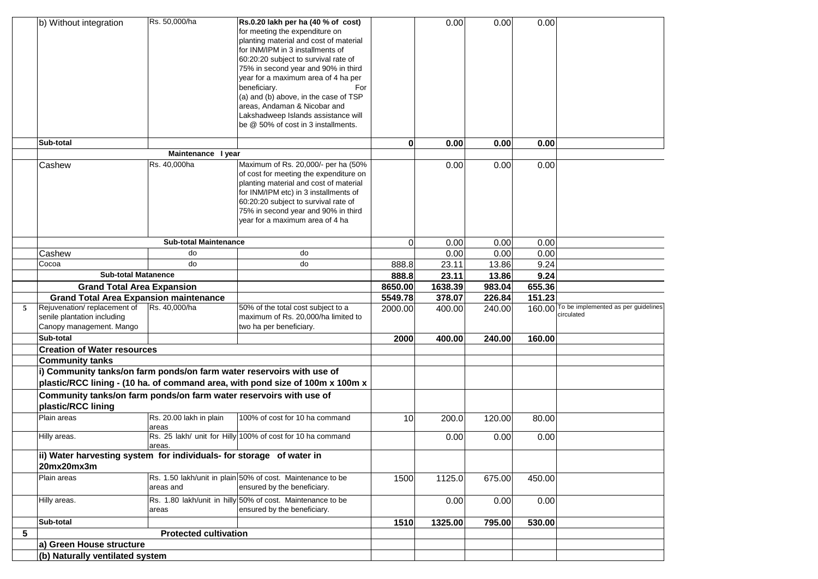|                 | b) Without integration                                                | Rs. 50,000/ha                | Rs.0.20 lakh per ha (40 % of cost)                                                        |              | 0.00    | 0.00   | 0.00   |                                            |
|-----------------|-----------------------------------------------------------------------|------------------------------|-------------------------------------------------------------------------------------------|--------------|---------|--------|--------|--------------------------------------------|
|                 |                                                                       |                              | for meeting the expenditure on                                                            |              |         |        |        |                                            |
|                 |                                                                       |                              | planting material and cost of material                                                    |              |         |        |        |                                            |
|                 |                                                                       |                              | for INM/IPM in 3 installments of                                                          |              |         |        |        |                                            |
|                 |                                                                       |                              | 60:20:20 subject to survival rate of                                                      |              |         |        |        |                                            |
|                 |                                                                       |                              | 75% in second year and 90% in third                                                       |              |         |        |        |                                            |
|                 |                                                                       |                              | year for a maximum area of 4 ha per                                                       |              |         |        |        |                                            |
|                 |                                                                       |                              | beneficiary.<br>For                                                                       |              |         |        |        |                                            |
|                 |                                                                       |                              | (a) and (b) above, in the case of TSP                                                     |              |         |        |        |                                            |
|                 |                                                                       |                              | areas, Andaman & Nicobar and                                                              |              |         |        |        |                                            |
|                 |                                                                       |                              | Lakshadweep Islands assistance will<br>be @ 50% of cost in 3 installments.                |              |         |        |        |                                            |
|                 |                                                                       |                              |                                                                                           |              |         |        |        |                                            |
|                 | Sub-total                                                             |                              |                                                                                           | $\mathbf{0}$ | 0.00    | 0.00   | 0.00   |                                            |
|                 |                                                                       | Maintenance I year           |                                                                                           |              |         |        |        |                                            |
|                 | Cashew                                                                | Rs. 40,000ha                 | Maximum of Rs. 20,000/- per ha (50%                                                       |              | 0.00    | 0.00   | 0.00   |                                            |
|                 |                                                                       |                              | of cost for meeting the expenditure on                                                    |              |         |        |        |                                            |
|                 |                                                                       |                              | planting material and cost of material                                                    |              |         |        |        |                                            |
|                 |                                                                       |                              | for INM/IPM etc) in 3 installments of                                                     |              |         |        |        |                                            |
|                 |                                                                       |                              | 60:20:20 subject to survival rate of                                                      |              |         |        |        |                                            |
|                 |                                                                       |                              | 75% in second year and 90% in third                                                       |              |         |        |        |                                            |
|                 |                                                                       |                              | year for a maximum area of 4 ha                                                           |              |         |        |        |                                            |
|                 |                                                                       |                              |                                                                                           |              |         |        |        |                                            |
|                 |                                                                       | <b>Sub-total Maintenance</b> |                                                                                           | $\Omega$     | 0.00    | 0.00   | 0.00   |                                            |
|                 | Cashew                                                                | do                           | do                                                                                        |              | 0.00    | 0.00   | 0.00   |                                            |
|                 | Cocoa                                                                 | do                           | do                                                                                        | 888.8        | 23.11   | 13.86  | 9.24   |                                            |
|                 | <b>Sub-total Matanence</b>                                            |                              |                                                                                           | 888.8        | 23.11   | 13.86  | 9.24   |                                            |
|                 | <b>Grand Total Area Expansion</b>                                     |                              |                                                                                           | 8650.00      | 1638.39 | 983.04 | 655.36 |                                            |
|                 | <b>Grand Total Area Expansion maintenance</b>                         |                              |                                                                                           | 5549.78      | 378.07  | 226.84 | 151.23 |                                            |
| 5               | Rejuvenation/replacement of                                           | Rs. 40,000/ha                | 50% of the total cost subject to a                                                        | 2000.00      | 400.00  | 240.00 |        | 160.00 To be implemented as per guidelines |
|                 | senile plantation including                                           |                              | maximum of Rs. 20,000/ha limited to                                                       |              |         |        |        | circulated                                 |
|                 | Canopy management. Mango                                              |                              | two ha per beneficiary.                                                                   |              |         |        |        |                                            |
|                 | Sub-total                                                             |                              |                                                                                           | 2000         | 400.00  | 240.00 | 160.00 |                                            |
|                 | <b>Creation of Water resources</b>                                    |                              |                                                                                           |              |         |        |        |                                            |
|                 | <b>Community tanks</b>                                                |                              |                                                                                           |              |         |        |        |                                            |
|                 | i) Community tanks/on farm ponds/on farm water reservoirs with use of |                              |                                                                                           |              |         |        |        |                                            |
|                 |                                                                       |                              | plastic/RCC lining - (10 ha. of command area, with pond size of 100m x 100m x             |              |         |        |        |                                            |
|                 | Community tanks/on farm ponds/on farm water reservoirs with use of    |                              |                                                                                           |              |         |        |        |                                            |
|                 | plastic/RCC lining                                                    |                              |                                                                                           |              |         |        |        |                                            |
|                 | Plain areas                                                           | Rs. 20.00 lakh in plain      | 100% of cost for 10 ha command                                                            | 10           | 200.0   | 120.00 | 80.00  |                                            |
|                 |                                                                       |                              |                                                                                           |              |         |        |        |                                            |
|                 |                                                                       | areas                        |                                                                                           |              |         |        |        |                                            |
|                 | Hilly areas.                                                          |                              | Rs. 25 lakh/ unit for Hilly 100% of cost for 10 ha command                                |              | 0.00    | 0.00   | 0.00   |                                            |
|                 |                                                                       | areas.                       |                                                                                           |              |         |        |        |                                            |
|                 | ii) Water harvesting system for individuals- for storage of water in  |                              |                                                                                           |              |         |        |        |                                            |
|                 | 20mx20mx3m                                                            |                              |                                                                                           |              |         |        |        |                                            |
|                 | Plain areas                                                           |                              | Rs. 1.50 lakh/unit in plain 50% of cost. Maintenance to be                                | 1500         | 1125.0  | 675.00 | 450.00 |                                            |
|                 |                                                                       | areas and                    | ensured by the beneficiary.                                                               |              |         |        |        |                                            |
|                 |                                                                       |                              |                                                                                           |              |         |        |        |                                            |
|                 | Hilly areas.                                                          | areas                        | Rs. 1.80 lakh/unit in hilly 50% of cost. Maintenance to be<br>ensured by the beneficiary. |              | 0.00    | 0.00   | 0.00   |                                            |
|                 | Sub-total                                                             |                              |                                                                                           | 1510         | 1325.00 | 795.00 | 530.00 |                                            |
| $5\phantom{.0}$ |                                                                       | <b>Protected cultivation</b> |                                                                                           |              |         |        |        |                                            |
|                 |                                                                       |                              |                                                                                           |              |         |        |        |                                            |
|                 | a) Green House structure<br>(b) Naturally ventilated system           |                              |                                                                                           |              |         |        |        |                                            |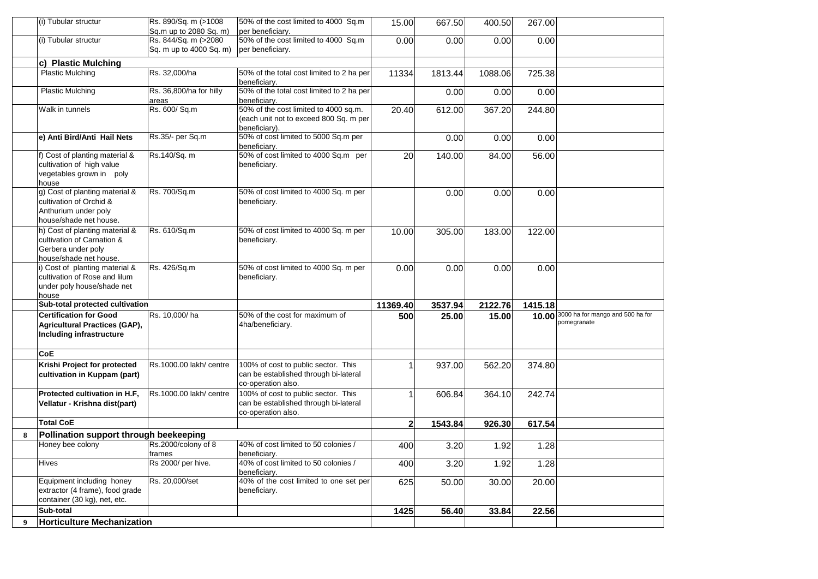|   | l(i) Tubular structur                    | Rs. 890/Sq. m (>1008<br>Sq.m up to 2080 Sq. m) | 50% of the cost limited to 4000 Sq.m<br>per beneficiary. | 15.00        | 667.50  | 400.50  | 267.00  |                                        |
|---|------------------------------------------|------------------------------------------------|----------------------------------------------------------|--------------|---------|---------|---------|----------------------------------------|
|   |                                          | Rs. 844/Sq. m (>2080                           |                                                          |              |         |         |         |                                        |
|   | (i) Tubular structur                     |                                                | 50% of the cost limited to 4000 Sq.m                     | 0.00         | 0.00    | 0.00    | 0.00    |                                        |
|   |                                          | Sq. m up to 4000 Sq. m)                        | per beneficiary.                                         |              |         |         |         |                                        |
|   | c) Plastic Mulching                      |                                                |                                                          |              |         |         |         |                                        |
|   | <b>Plastic Mulching</b>                  | Rs. 32,000/ha                                  | 50% of the total cost limited to 2 ha per                | 11334        | 1813.44 | 1088.06 | 725.38  |                                        |
|   |                                          |                                                | beneficiary.                                             |              |         |         |         |                                        |
|   | <b>Plastic Mulching</b>                  | Rs. 36,800/ha for hilly                        | 50% of the total cost limited to 2 ha per                |              | 0.00    | 0.00    | 0.00    |                                        |
|   |                                          | areas                                          | beneficiary.                                             |              |         |         |         |                                        |
|   | Walk in tunnels                          | Rs. 600/ Sq.m                                  | 50% of the cost limited to 4000 sq.m.                    | 20.40        | 612.00  | 367.20  | 244.80  |                                        |
|   |                                          |                                                | (each unit not to exceed 800 Sq. m per                   |              |         |         |         |                                        |
|   |                                          |                                                | beneficiary).                                            |              |         |         |         |                                        |
|   | e) Anti Bird/Anti Hail Nets              | Rs.35/- per Sq.m                               | 50% of cost limited to 5000 Sq.m per                     |              | 0.00    | 0.00    | 0.00    |                                        |
|   |                                          |                                                | beneficiary.                                             |              |         |         |         |                                        |
|   | f) Cost of planting material &           | Rs.140/Sq. m                                   | 50% of cost limited to 4000 Sq.m per                     | 20           | 140.00  | 84.00   | 56.00   |                                        |
|   | cultivation of high value                |                                                | beneficiary.                                             |              |         |         |         |                                        |
|   | vegetables grown in poly                 |                                                |                                                          |              |         |         |         |                                        |
|   | house                                    |                                                |                                                          |              |         |         |         |                                        |
|   | g) Cost of planting material &           | Rs. 700/Sq.m                                   | 50% of cost limited to 4000 Sq. m per                    |              | 0.00    | 0.00    | 0.00    |                                        |
|   | cultivation of Orchid &                  |                                                | beneficiary.                                             |              |         |         |         |                                        |
|   | Anthurium under poly                     |                                                |                                                          |              |         |         |         |                                        |
|   | house/shade net house.                   |                                                |                                                          |              |         |         |         |                                        |
|   | h) Cost of planting material &           |                                                |                                                          |              |         |         |         |                                        |
|   | cultivation of Carnation &               | Rs. 610/Sq.m                                   | 50% of cost limited to 4000 Sq. m per                    | 10.00        | 305.00  | 183.00  | 122.00  |                                        |
|   |                                          |                                                | beneficiary.                                             |              |         |         |         |                                        |
|   | Gerbera under poly                       |                                                |                                                          |              |         |         |         |                                        |
|   | house/shade net house.                   |                                                |                                                          |              |         |         |         |                                        |
|   | i) Cost of planting material &           | Rs. 426/Sq.m                                   | 50% of cost limited to 4000 Sq. m per                    | 0.00         | 0.00    | 0.00    | 0.00    |                                        |
|   | cultivation of Rose and lilum            |                                                | beneficiary.                                             |              |         |         |         |                                        |
|   | under poly house/shade net               |                                                |                                                          |              |         |         |         |                                        |
|   | house<br>Sub-total protected cultivation |                                                |                                                          | 11369.40     | 3537.94 | 2122.76 | 1415.18 |                                        |
|   |                                          |                                                |                                                          |              |         |         |         | 10.00 3000 ha for mango and 500 ha for |
|   |                                          |                                                |                                                          |              |         |         |         |                                        |
|   | <b>Certification for Good</b>            | Rs. 10,000/ha                                  | 50% of the cost for maximum of                           | 500          | 25.00   | 15.00   |         |                                        |
|   | <b>Agricultural Practices (GAP),</b>     |                                                | 4ha/beneficiary.                                         |              |         |         |         | pomegranate                            |
|   | Including infrastructure                 |                                                |                                                          |              |         |         |         |                                        |
|   |                                          |                                                |                                                          |              |         |         |         |                                        |
|   | <b>CoE</b>                               |                                                |                                                          |              |         |         |         |                                        |
|   | Krishi Project for protected             | Rs.1000.00 lakh/ centre                        | 100% of cost to public sector. This                      |              | 937.00  | 562.20  | 374.80  |                                        |
|   | cultivation in Kuppam (part)             |                                                | can be established through bi-lateral                    |              |         |         |         |                                        |
|   |                                          |                                                | co-operation also.                                       |              |         |         |         |                                        |
|   | Protected cultivation in H.F.            | Rs.1000.00 lakh/ centre                        | 100% of cost to public sector. This                      |              | 606.84  | 364.10  | 242.74  |                                        |
|   | Vellatur - Krishna dist(part)            |                                                | can be established through bi-lateral                    |              |         |         |         |                                        |
|   |                                          |                                                | co-operation also.                                       |              |         |         |         |                                        |
|   | <b>Total CoE</b>                         |                                                |                                                          | $\mathbf{2}$ | 1543.84 | 926.30  | 617.54  |                                        |
| 8 |                                          |                                                |                                                          |              |         |         |         |                                        |
|   | Pollination support through beekeeping   |                                                |                                                          |              |         |         |         |                                        |
|   | Honey bee colony                         | Rs.2000/colony of 8                            | 40% of cost limited to 50 colonies /                     | 400          | 3.20    | 1.92    | 1.28    |                                        |
|   |                                          | rrames                                         | beneficiary.                                             |              |         |         |         |                                        |
|   | Hives                                    | Rs 2000/ per hive.                             | 40% of cost limited to 50 colonies /<br>beneficiarv.     | 400          | 3.20    | 1.92    | 1.28    |                                        |
|   | Equipment including honey                | Rs. 20,000/set                                 | 40% of the cost limited to one set per                   |              |         |         |         |                                        |
|   | extractor (4 frame), food grade          |                                                | beneficiary.                                             | 625          | 50.00   | 30.00   | 20.00   |                                        |
|   | container (30 kg), net, etc.             |                                                |                                                          |              |         |         |         |                                        |
|   | Sub-total                                |                                                |                                                          |              |         |         |         |                                        |
| 9 | <b>Horticulture Mechanization</b>        |                                                |                                                          | 1425         | 56.40   | 33.84   | 22.56   |                                        |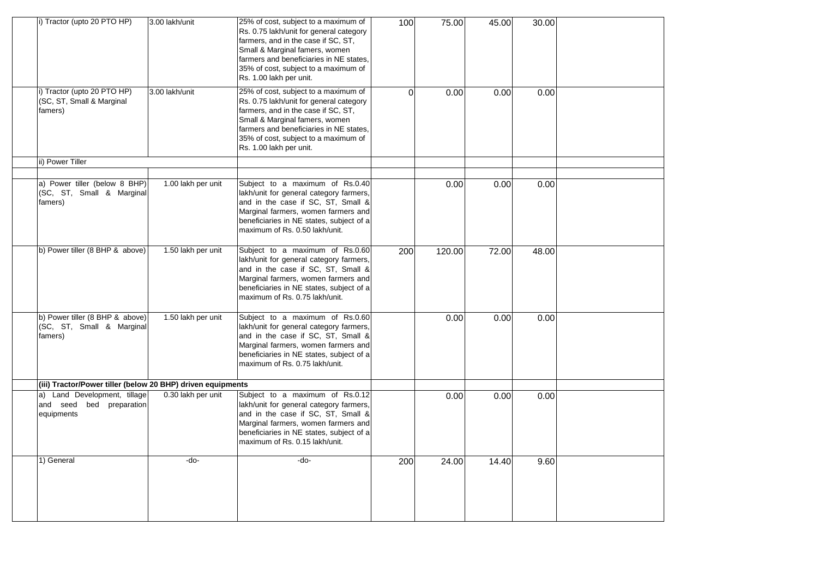| i) Tractor (upto 20 PTO HP)                                               | 3.00 lakh/unit     | 25% of cost, subject to a maximum of<br>Rs. 0.75 lakh/unit for general category<br>farmers, and in the case if SC, ST,<br>Small & Marginal famers, women                                                                                                               | 100      | 75.00  | 45.00 | 30.00 |  |
|---------------------------------------------------------------------------|--------------------|------------------------------------------------------------------------------------------------------------------------------------------------------------------------------------------------------------------------------------------------------------------------|----------|--------|-------|-------|--|
|                                                                           |                    | farmers and beneficiaries in NE states,<br>35% of cost, subject to a maximum of<br>Rs. 1.00 lakh per unit.                                                                                                                                                             |          |        |       |       |  |
| i) Tractor (upto 20 PTO HP)<br>(SC, ST, Small & Marginal<br>famers)       | 3.00 lakh/unit     | 25% of cost, subject to a maximum of<br>Rs. 0.75 lakh/unit for general category<br>farmers, and in the case if SC, ST,<br>Small & Marginal famers, women<br>farmers and beneficiaries in NE states,<br>35% of cost, subject to a maximum of<br>Rs. 1.00 lakh per unit. | $\Omega$ | 0.00   | 0.00  | 0.00  |  |
| ii) Power Tiller                                                          |                    |                                                                                                                                                                                                                                                                        |          |        |       |       |  |
|                                                                           |                    |                                                                                                                                                                                                                                                                        |          |        |       |       |  |
| a) Power tiller (below 8 BHP)<br>(SC, ST, Small & Marginal<br>famers)     | 1.00 lakh per unit | Subject to a maximum of Rs.0.40<br>lakh/unit for general category farmers,<br>and in the case if SC, ST, Small &<br>Marginal farmers, women farmers and<br>beneficiaries in NE states, subject of a<br>maximum of Rs. 0.50 lakh/unit.                                  |          | 0.00   | 0.00  | 0.00  |  |
| b) Power tiller (8 BHP & above)                                           | 1.50 lakh per unit | Subject to a maximum of Rs.0.60<br>lakh/unit for general category farmers,<br>and in the case if SC, ST, Small &<br>Marginal farmers, women farmers and<br>beneficiaries in NE states, subject of a<br>maximum of Rs. 0.75 lakh/unit.                                  | 200      | 120.00 | 72.00 | 48.00 |  |
| b) Power tiller (8 BHP & above)<br>(SC, ST, Small & Marginal<br>famers)   | 1.50 lakh per unit | Subject to a maximum of Rs.0.60<br>lakh/unit for general category farmers,<br>and in the case if SC, ST, Small &<br>Marginal farmers, women farmers and<br>beneficiaries in NE states, subject of a<br>maximum of Rs. 0.75 lakh/unit.                                  |          | 0.00   | 0.00  | 0.00  |  |
| (iii) Tractor/Power tiller (below 20 BHP) driven equipments               |                    |                                                                                                                                                                                                                                                                        |          |        |       |       |  |
| Land Development, tillage<br>a)<br>and seed bed preparation<br>equipments | 0.30 lakh per unit | Subject to a maximum of Rs.0.12<br>lakh/unit for general category farmers,<br>and in the case if SC, ST, Small &<br>Marginal farmers, women farmers and<br>beneficiaries in NE states, subject of a<br>maximum of Rs. 0.15 lakh/unit.                                  |          | 0.00   | 0.00  | 0.00  |  |
| 1) General                                                                | -do-               | -do-                                                                                                                                                                                                                                                                   | 200      | 24.00  | 14.40 | 9.60  |  |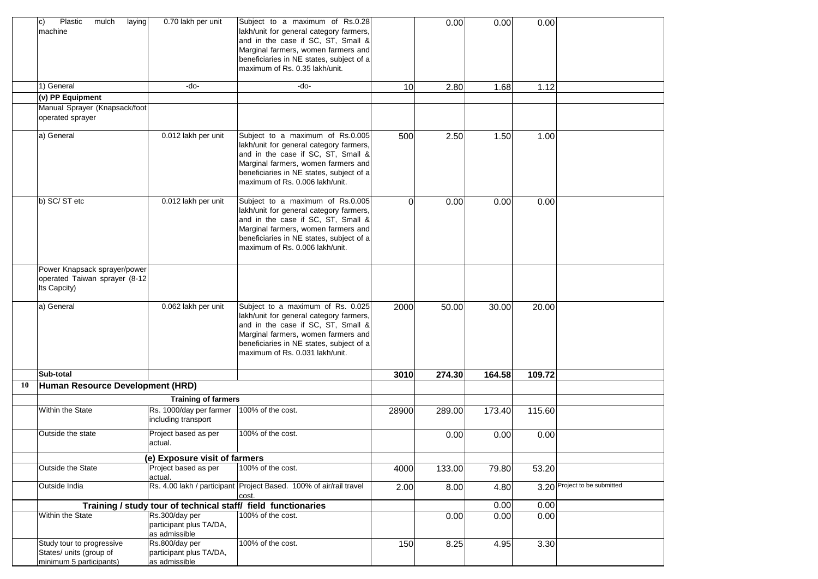|    | Plastic<br>mulch<br>C)<br>laying<br>machine                                     | 0.70 lakh per unit                                         | Subject to a maximum of Rs.0.28<br>lakh/unit for general category farmers,<br>and in the case if SC, ST, Small &<br>Marginal farmers, women farmers and<br>beneficiaries in NE states, subject of a                                      |          | 0.00   | 0.00   | 0.00   |                              |
|----|---------------------------------------------------------------------------------|------------------------------------------------------------|------------------------------------------------------------------------------------------------------------------------------------------------------------------------------------------------------------------------------------------|----------|--------|--------|--------|------------------------------|
|    |                                                                                 |                                                            | maximum of Rs. 0.35 lakh/unit.                                                                                                                                                                                                           |          |        |        |        |                              |
|    | 1) General                                                                      | -do-                                                       | -do-                                                                                                                                                                                                                                     | 10       | 2.80   | 1.68   | 1.12   |                              |
|    | (v) PP Equipment                                                                |                                                            |                                                                                                                                                                                                                                          |          |        |        |        |                              |
|    | Manual Sprayer (Knapsack/foot                                                   |                                                            |                                                                                                                                                                                                                                          |          |        |        |        |                              |
|    | operated sprayer                                                                |                                                            |                                                                                                                                                                                                                                          |          |        |        |        |                              |
|    | a) General                                                                      | 0.012 lakh per unit                                        | Subject to a maximum of Rs.0.005<br>lakh/unit for general category farmers,<br>and in the case if SC, ST, Small &<br>Marginal farmers, women farmers and<br>beneficiaries in NE states, subject of a<br>maximum of Rs. 0.006 lakh/unit.  | 500      | 2.50   | 1.50   | 1.00   |                              |
|    | b) SC/ST etc                                                                    | 0.012 lakh per unit                                        | Subject to a maximum of Rs.0.005<br>lakh/unit for general category farmers,<br>and in the case if SC, ST, Small &<br>Marginal farmers, women farmers and<br>beneficiaries in NE states, subject of a<br>maximum of Rs. 0.006 lakh/unit.  | $\Omega$ | 0.00   | 0.00   | 0.00   |                              |
|    | Power Knapsack sprayer/power<br>operated Taiwan sprayer (8-12<br>Its Capcity)   |                                                            |                                                                                                                                                                                                                                          |          |        |        |        |                              |
|    | a) General                                                                      | 0.062 lakh per unit                                        | Subject to a maximum of Rs. 0.025<br>lakh/unit for general category farmers,<br>and in the case if SC, ST, Small &<br>Marginal farmers, women farmers and<br>beneficiaries in NE states, subject of a<br>maximum of Rs. 0.031 lakh/unit. | 2000     | 50.00  | 30.00  | 20.00  |                              |
|    | Sub-total                                                                       |                                                            |                                                                                                                                                                                                                                          | 3010     | 274.30 | 164.58 | 109.72 |                              |
| 10 | Human Resource Development (HRD)                                                |                                                            |                                                                                                                                                                                                                                          |          |        |        |        |                              |
|    |                                                                                 | <b>Training of farmers</b>                                 |                                                                                                                                                                                                                                          |          |        |        |        |                              |
|    | Within the State                                                                | Rs. 1000/day per farmer<br>including transport             | 100% of the cost.                                                                                                                                                                                                                        | 28900    | 289.00 | 173.40 | 115.60 |                              |
|    | Outside the state                                                               | Project based as per<br>actual.                            | 100% of the cost.                                                                                                                                                                                                                        |          | 0.00   | 0.00   | 0.00   |                              |
|    |                                                                                 | (e) Exposure visit of farmers                              |                                                                                                                                                                                                                                          |          |        |        |        |                              |
|    | Outside the State                                                               | Project based as per<br>actual.                            | 100% of the cost.                                                                                                                                                                                                                        | 4000     | 133.00 | 79.80  | 53.20  |                              |
|    | Outside India                                                                   |                                                            | Rs. 4.00 lakh / participant Project Based. 100% of air/rail travel<br>cost.                                                                                                                                                              | 2.00     | 8.00   | 4.80   |        | 3.20 Project to be submitted |
|    |                                                                                 |                                                            | Training / study tour of technical staff/ field functionaries                                                                                                                                                                            |          |        | 0.00   | 0.00   |                              |
|    | Within the State                                                                | Rs.300/day per<br>participant plus TA/DA,<br>as admissible | 100% of the cost.                                                                                                                                                                                                                        |          | 0.00   | 0.00   | 0.00   |                              |
|    | Study tour to progressive<br>States/ units (group of<br>minimum 5 participants) | Rs.800/day per<br>participant plus TA/DA,<br>as admissible | 100% of the cost.                                                                                                                                                                                                                        | 150      | 8.25   | 4.95   | 3.30   |                              |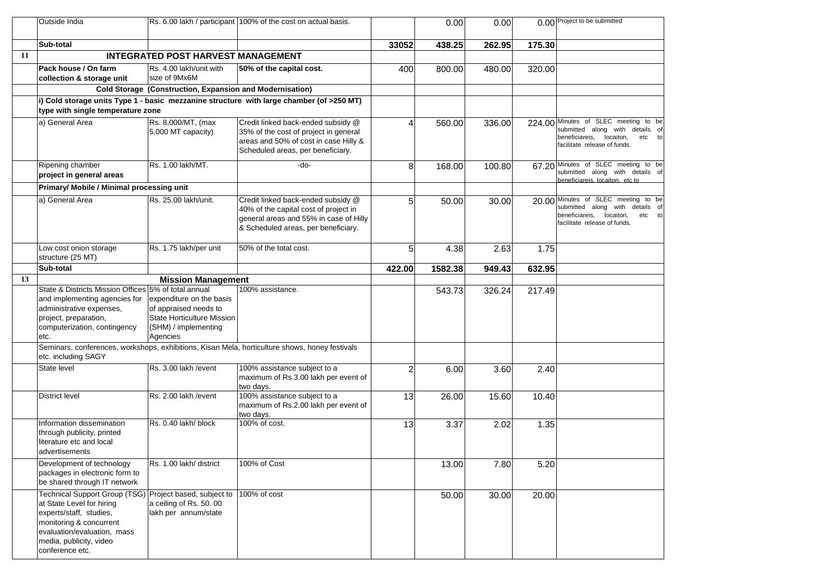|    | Outside India                                                                                                                                                                                                           |                                                                                                                            | Rs. 6.00 lakh / participant 100% of the cost on actual basis.                                                                                                |                | 0.00    | 0.00   |        | 0.00 Project to be submitted                                                                                                                 |
|----|-------------------------------------------------------------------------------------------------------------------------------------------------------------------------------------------------------------------------|----------------------------------------------------------------------------------------------------------------------------|--------------------------------------------------------------------------------------------------------------------------------------------------------------|----------------|---------|--------|--------|----------------------------------------------------------------------------------------------------------------------------------------------|
|    | Sub-total                                                                                                                                                                                                               |                                                                                                                            |                                                                                                                                                              | 33052          | 438.25  | 262.95 | 175.30 |                                                                                                                                              |
| 11 |                                                                                                                                                                                                                         | <b>INTEGRATED POST HARVEST MANAGEMENT</b>                                                                                  |                                                                                                                                                              |                |         |        |        |                                                                                                                                              |
|    | Pack house / On farm<br>collection & storage unit                                                                                                                                                                       | Rs. 4.00 lakh/unit with<br>size of 9Mx6M                                                                                   | 50% of the capital cost.                                                                                                                                     | 400            | 800.00  | 480.00 | 320.00 |                                                                                                                                              |
|    |                                                                                                                                                                                                                         | Cold Storage (Construction, Expansion and Modernisation)                                                                   |                                                                                                                                                              |                |         |        |        |                                                                                                                                              |
|    |                                                                                                                                                                                                                         |                                                                                                                            | i) Cold storage units Type 1 - basic mezzanine structure with large chamber (of >250 MT)                                                                     |                |         |        |        |                                                                                                                                              |
|    | type with single temperature zone                                                                                                                                                                                       |                                                                                                                            |                                                                                                                                                              |                |         |        |        |                                                                                                                                              |
|    | a) General Area                                                                                                                                                                                                         | Rs. 8,000/MT, (max                                                                                                         | Credit linked back-ended subsidy @                                                                                                                           | Δ              | 560.00  | 336.00 |        | 224.00 Minutes of SLEC meeting to be                                                                                                         |
|    |                                                                                                                                                                                                                         | 5,000 MT capacity)                                                                                                         | 35% of the cost of project in general<br>areas and 50% of cost in case Hilly &<br>Scheduled areas, per beneficiary.                                          |                |         |        |        | submitted along with details of<br>beneficiareis,<br>locaiton,<br>etc to<br>facilitate release of funds.                                     |
|    | Ripening chamber<br>project in general areas                                                                                                                                                                            | Rs. 1.00 lakh/MT.                                                                                                          | -do-                                                                                                                                                         | 8              | 168.00  | 100.80 |        | 67.20 Minutes of SLEC meeting to be<br>submitted along with details of<br>beneficiareis, locaiton, etc to                                    |
|    | Primary/ Mobile / Minimal processing unit                                                                                                                                                                               |                                                                                                                            |                                                                                                                                                              |                |         |        |        |                                                                                                                                              |
|    | a) General Area                                                                                                                                                                                                         | Rs. 25.00 lakh/unit.                                                                                                       | Credit linked back-ended subsidy @<br>40% of the capital cost of project in<br>general areas and 55% in case of Hilly<br>& Scheduled areas, per beneficiary. | 5              | 50.00   | 30.00  |        | 20.00 Minutes of SLEC meeting to be<br>submitted along with details of<br>beneficiareis, locaiton,<br>etc to<br>facilitate release of funds. |
|    | Low cost onion storage<br>structure (25 MT)                                                                                                                                                                             | Rs. 1.75 lakh/per unit                                                                                                     | 50% of the total cost.                                                                                                                                       | 5              | 4.38    | 2.63   | 1.75   |                                                                                                                                              |
|    | Sub-total                                                                                                                                                                                                               |                                                                                                                            |                                                                                                                                                              | 422.00         | 1582.38 | 949.43 | 632.95 |                                                                                                                                              |
| 13 |                                                                                                                                                                                                                         | <b>Mission Management</b>                                                                                                  |                                                                                                                                                              |                |         |        |        |                                                                                                                                              |
|    | State & Districts Mission Offices 5% of total annual<br>and implementing agencies for<br>administrative expenses,<br>project, preparation,<br>computerization, contingency<br>etc.                                      | expenditure on the basis<br>of appraised needs to<br><b>State Horticulture Mission</b><br>(SHM) / implementing<br>Agencies | 100% assistance.                                                                                                                                             |                | 543.73  | 326.24 | 217.49 |                                                                                                                                              |
|    | etc. including SAGY                                                                                                                                                                                                     |                                                                                                                            | Seminars, conferences, workshops, exhibitions, Kisan Mela, horticulture shows, honey festivals                                                               |                |         |        |        |                                                                                                                                              |
|    | <b>State level</b>                                                                                                                                                                                                      | Rs. 3.00 lakh / event                                                                                                      | 100% assistance subject to a<br>maximum of Rs.3.00 lakh per event of<br>two days.                                                                            | $\overline{2}$ | 6.00    | 3.60   | 2.40   |                                                                                                                                              |
|    | <b>District level</b>                                                                                                                                                                                                   | Rs. 2.00 lakh / event                                                                                                      | 100% assistance subject to a<br>maximum of Rs.2.00 lakh per event of<br>two days.                                                                            | 13             | 26.00   | 15.60  | 10.40  |                                                                                                                                              |
|    | Information dissemination<br>through publicity, printed<br>literature etc and local<br>advertisements                                                                                                                   | Rs. 0.40 lakh/ block                                                                                                       | 100% of cost.                                                                                                                                                | 13             | 3.37    | 2.02   | 1.35   |                                                                                                                                              |
|    | Development of technology<br>packages in electronic form to<br>be shared through IT network                                                                                                                             | Rs. 1.00 lakh/ district                                                                                                    | 100% of Cost                                                                                                                                                 |                | 13.00   | 7.80   | 5.20   |                                                                                                                                              |
|    | Technical Support Group (TSG) Project based, subject to<br>at State Level for hiring<br>experts/staff, studies,<br>monitoring & concurrent<br>evaluation/evaluation, mass<br>media, publicity, video<br>conference etc. | a ceiling of Rs. 50. 00<br>lakh per annum/state                                                                            | 100% of cost                                                                                                                                                 |                | 50.00   | 30.00  | 20.00  |                                                                                                                                              |